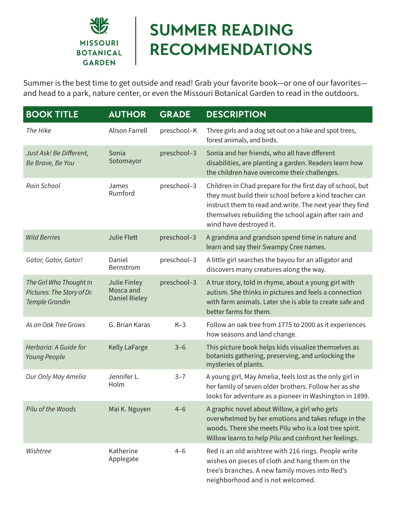

## **SUMMER READING RECOMMENDATIONS**

Summer is the best time to get outside and read! Grab your favorite book—or one of our favorites and head to a park, nature center, or even the Missouri Botanical Garden to read in the outdoors.

| <b>BOOK TITLE</b>                                                              | <b>AUTHOR</b>                                     | <b>GRADE</b> | <b>DESCRIPTION</b>                                                                                                                                                                                                                                                  |
|--------------------------------------------------------------------------------|---------------------------------------------------|--------------|---------------------------------------------------------------------------------------------------------------------------------------------------------------------------------------------------------------------------------------------------------------------|
| The Hike                                                                       | <b>Alison Farrell</b>                             | preschool-K  | Three girls and a dog set out on a hike and spot trees,<br>forest animals, and birds.                                                                                                                                                                               |
| Just Ask! Be Different,<br>Be Brave, Be You                                    | Sonia<br>Sotomayor                                | preschool-3  | Sonia and her friends, who all have dfferent<br>disabilities, are planting a garden. Readers learn how<br>the children have overcome their challenges.                                                                                                              |
| Rain School                                                                    | James<br>Rumford                                  | preschool-3  | Children in Chad prepare for the first day of school, but<br>they must build their school before a kind teacher can<br>instruct them to read and write. The next year they find<br>themselves rebuilding the school again after rain and<br>wind have destroyed it. |
| <b>Wild Berries</b>                                                            | <b>Julie Flett</b>                                | preschool-3  | A grandma and grandson spend time in nature and<br>learn and say their Swampy Cree names.                                                                                                                                                                           |
| Gator, Gator, Gator!                                                           | Daniel<br>Bernstrom                               | preschool-3  | A little girl searches the bayou for an alligator and<br>discovers many creatures along the way.                                                                                                                                                                    |
| The Girl Who Thought in<br>Pictures: The Story of Dr.<br><b>Temple Grandin</b> | Julie Finley<br>Mosca and<br><b>Daniel Rieley</b> | preschool-3  | A true story, told in rhyme, about a young girl with<br>autism. She thinks in pictures and feels a connection<br>with farm animals. Later she is able to create safe and<br>better farms for them.                                                                  |
| As an Oak Tree Grows                                                           | G. Brian Karas                                    | $K-3$        | Follow an oak tree from 1775 to 2000 as it experiences<br>how seasons and land change.                                                                                                                                                                              |
| Herbaria: A Guide for<br>Young People                                          | <b>Kelly LaFarge</b>                              | $3 - 6$      | This picture book helps kids visualize themselves as<br>botanists gathering, preserving, and unlocking the<br>mysteries of plants.                                                                                                                                  |
| Our Only May Amelia                                                            | Jennifer L.<br>Holm                               | $3 - 7$      | A young girl, May Amelia, feels lost as the only girl in<br>her family of seven older brothers. Follow her as she<br>looks for adventure as a pioneer in Washington in 1899.                                                                                        |
| Pilu of the Woods                                                              | Mai K. Nguyen                                     | $4 - 6$      | A graphic novel about Willow, a girl who gets<br>overwhelmed by her emotions and takes refuge in the<br>woods. There she meets Pilu who is a lost tree spirit.<br>Willow learns to help Pilu and confront her feelings.                                             |
| Wishtree                                                                       | Katherine<br>Applegate                            | $4 - 6$      | Red is an old wishtree with 216 rings. People write<br>wishes on pieces of cloth and hang them on the<br>tree's branches. A new family moves into Red's<br>neighborhood and is not welcomed.                                                                        |